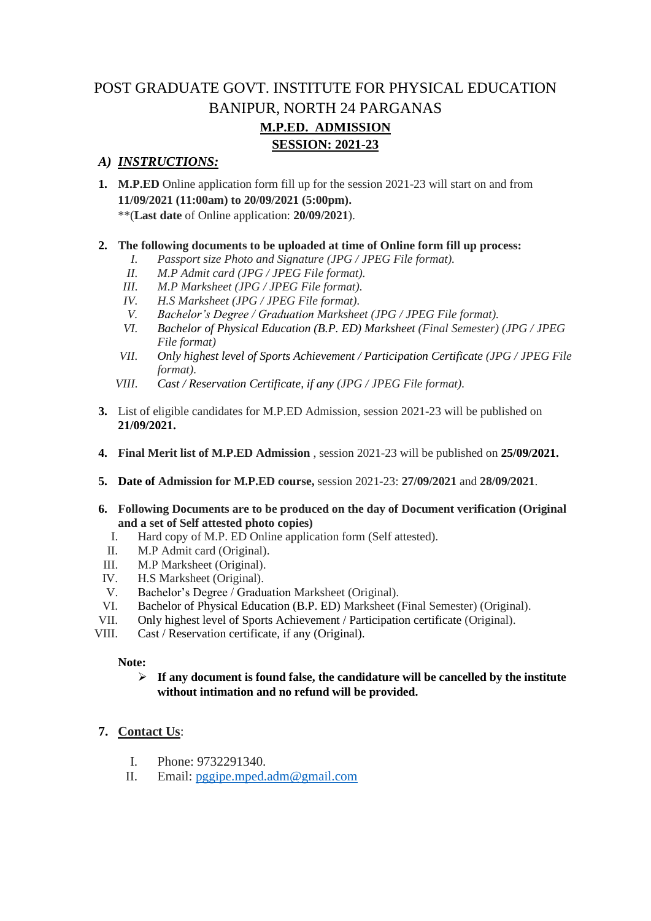## POST GRADUATE GOVT. INSTITUTE FOR PHYSICAL EDUCATION BANIPUR, NORTH 24 PARGANAS **M.P.ED. ADMISSION SESSION: 2021-23**

## *A) INSTRUCTIONS:*

**1. M.P.ED** Online application form fill up for the session 2021-23 will start on and from **11/09/2021 (11:00am) to 20/09/2021 (5:00pm).**

\*\*(**Last date** of Online application: **20/09/2021**).

### **2. The following documents to be uploaded at time of Online form fill up process:**

- *I. Passport size Photo and Signature (JPG / JPEG File format).*
- *II. M.P Admit card (JPG / JPEG File format).*
- *III. M.P Marksheet (JPG / JPEG File format).*
- *IV. H.S Marksheet (JPG / JPEG File format).*
- *V. Bachelor's Degree / Graduation Marksheet (JPG / JPEG File format).*
- *VI. Bachelor of Physical Education (B.P. ED) Marksheet (Final Semester) (JPG / JPEG File format)*
- *VII. Only highest level of Sports Achievement / Participation Certificate (JPG / JPEG File format).*
- *VIII. Cast / Reservation Certificate, if any (JPG / JPEG File format).*
- **3.** List of eligible candidates for M.P.ED Admission, session 2021-23 will be published on **21/09/2021.**
- **4. Final Merit list of M.P.ED Admission** , session 2021-23 will be published on **25/09/2021.**
- **5. Date of Admission for M.P.ED course,** session 2021-23: **27/09/2021** and **28/09/2021**.
- **6. Following Documents are to be produced on the day of Document verification (Original and a set of Self attested photo copies)**
	- I. Hard copy of M.P. ED Online application form (Self attested).
- II. M.P Admit card (Original).
- III. M.P Marksheet (Original).
- IV. H.S Marksheet (Original).
- V. Bachelor's Degree / Graduation Marksheet (Original).
- VI. Bachelor of Physical Education (B.P. ED) Marksheet (Final Semester) (Original).
- VII. Only highest level of Sports Achievement / Participation certificate (Original).
- VIII. Cast / Reservation certificate, if any (Original).

#### **Note:**

#### ➢ **If any document is found false, the candidature will be cancelled by the institute without intimation and no refund will be provided.**

## **7. Contact Us**:

- I. Phone: 9732291340.
- II. Email: [pggipe.mped.adm@gmail.com](mailto:pggipe.mped.adm@gmail.com)